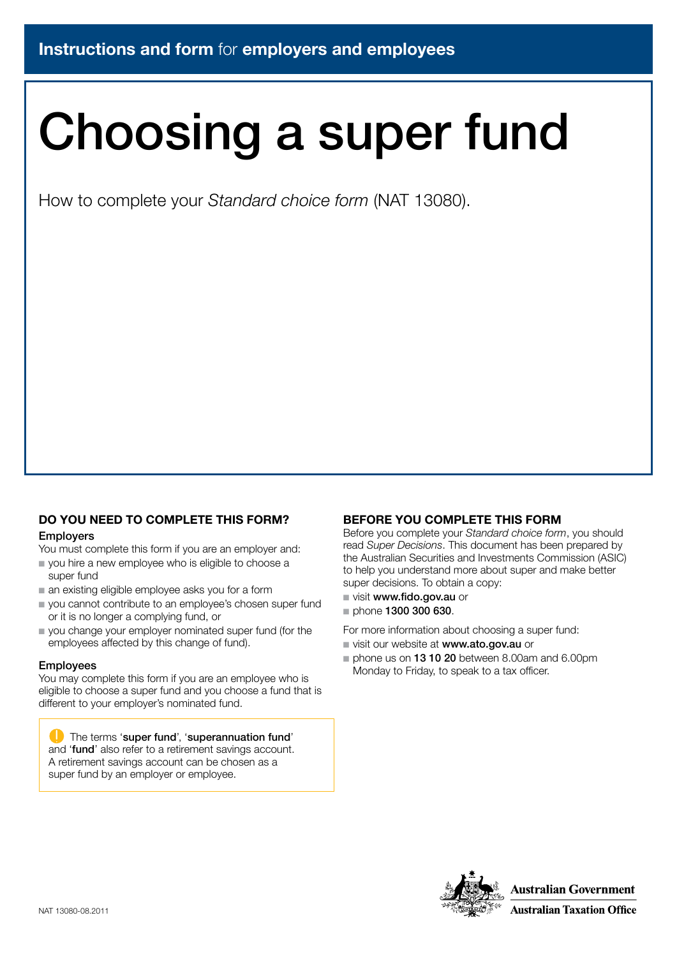# Choosing a super fund

How to complete your *Standard choice form* (NAT 13080).

### DO YOU NEED TO COMPLETE THIS FORM?

#### Employers

You must complete this form if you are an employer and:

- $\blacksquare$  you hire a new employee who is eligible to choose a super fund
- $\blacksquare$  an existing eligible employee asks you for a form
- vou cannot contribute to an employee's chosen super fund or it is no longer a complying fund, or
- $\blacksquare$  you change your employer nominated super fund (for the employees affected by this change of fund).

#### Employees

You may complete this form if you are an employee who is eligible to choose a super fund and you choose a fund that is different to your employer's nominated fund.

**The terms 'super fund', 'superannuation fund'** and 'fund' also refer to a retirement savings account. A retirement savings account can be chosen as a super fund by an employer or employee.

#### BEFORE YOU COMPLETE THIS FORM

Before you complete your *Standard choice form*, you should read *Super Decisions*. This document has been prepared by the Australian Securities and Investments Commission (ASIC) to help you understand more about super and make better super decisions. To obtain a copy:

- visit www.fido.gov.au or
- $p$  phone 1300 300 630.

For more information about choosing a super fund:

- visit our website at www.ato.gov.au or
- $\blacksquare$  phone us on 13 10 20 between 8.00am and 6.00pm Monday to Friday, to speak to a tax officer.



**Australian Government**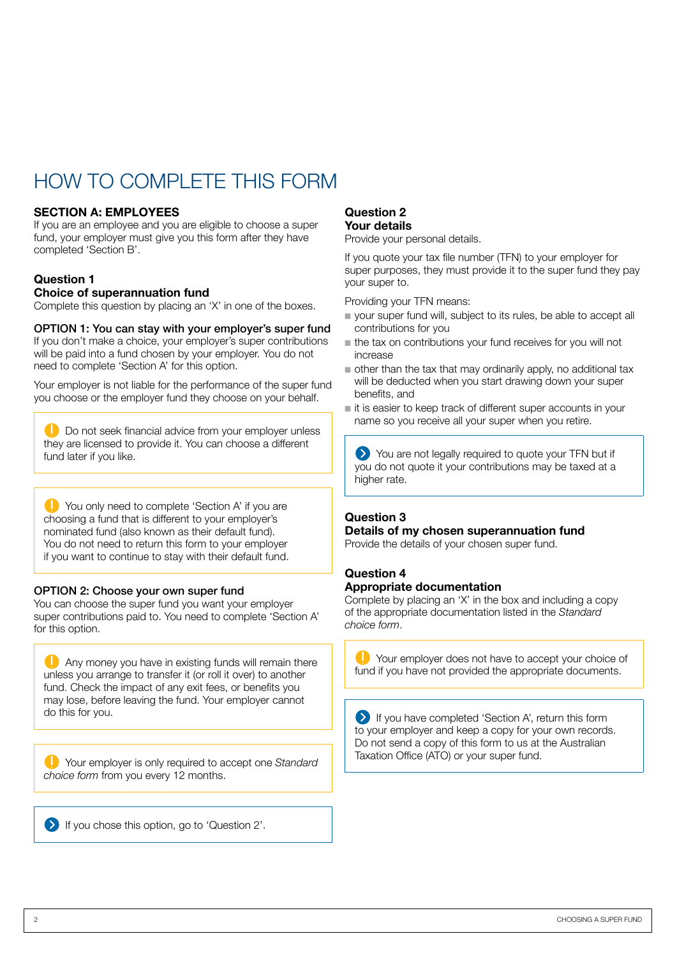## HOW TO COMPI FTF THIS FORM

#### SECTION A: EMPLOYEES

If you are an employee and you are eligible to choose a super fund, your employer must give you this form after they have completed 'Section B'.

#### Question 1

#### Choice of superannuation fund

Complete this question by placing an 'X' in one of the boxes.

#### OPTION 1: You can stay with your employer's super fund

If you don't make a choice, your employer's super contributions will be paid into a fund chosen by your employer. You do not need to complete 'Section A' for this option.

Your employer is not liable for the performance of the super fund you choose or the employer fund they choose on your behalf.

D Do not seek financial advice from your employer unless they are licensed to provide it. You can choose a different fund later if you like.

You only need to complete 'Section A' if you are choosing a fund that is different to your employer's nominated fund (also known as their default fund). You do not need to return this form to your employer if you want to continue to stay with their default fund.

#### OPTION 2: Choose your own super fund

You can choose the super fund you want your employer super contributions paid to. You need to complete 'Section A' for this option.

**Any money you have in existing funds will remain there** unless you arrange to transfer it (or roll it over) to another fund. Check the impact of any exit fees, or benefits you may lose, before leaving the fund. Your employer cannot do this for you.

Your employer is only required to accept one *Standard choice form* from you every 12 months.

If you chose this option, go to 'Question 2'.

#### Question 2 Your details

Provide your personal details.

If you quote your tax file number (TFN) to your employer for super purposes, they must provide it to the super fund they pay your super to.

Providing your TFN means:

- vour super fund will, subject to its rules, be able to accept all contributions for you
- $\blacksquare$  the tax on contributions your fund receives for you will not increase
- $\blacksquare$  other than the tax that may ordinarily apply, no additional tax will be deducted when you start drawing down your super benefits, and
- n it is easier to keep track of different super accounts in your name so you receive all your super when you retire.

You are not legally required to quote your TFN but if you do not quote it your contributions may be taxed at a higher rate.

#### Question 3

#### Details of my chosen superannuation fund

Provide the details of your chosen super fund.

#### Question 4 Appropriate documentation

Complete by placing an 'X' in the box and including a copy of the appropriate documentation listed in the *Standard choice form*.

Your employer does not have to accept your choice of fund if you have not provided the appropriate documents.

If you have completed 'Section A', return this form to your employer and keep a copy for your own records. Do not send a copy of this form to us at the Australian Taxation Office (ATO) or your super fund.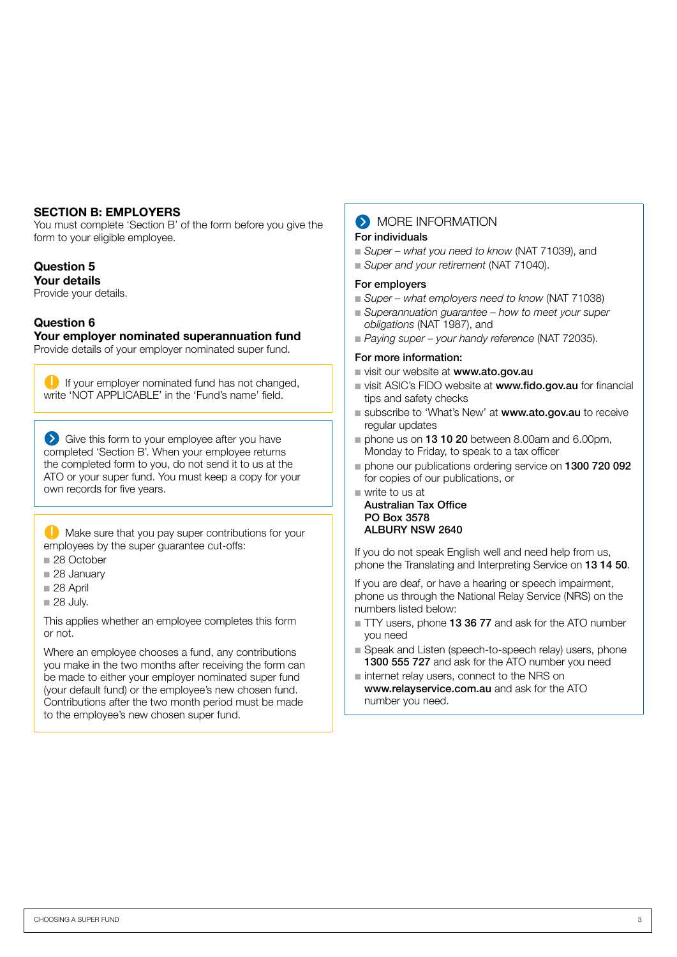#### SECTION B: EMPLOYERS

You must complete 'Section B' of the form before you give the form to your eligible employee.

#### Question 5

#### Your details

Provide your details.

#### Question 6

Your employer nominated superannuation fund

Provide details of your employer nominated super fund.

**If your employer nominated fund has not changed.** write 'NOT APPLICABLE' in the 'Fund's name' field.

Give this form to your employee after you have completed 'Section B'. When your employee returns the completed form to you, do not send it to us at the ATO or your super fund. You must keep a copy for your own records for five years.

**Make sure that you pay super contributions for your** employees by the super guarantee cut-offs:

- n 28 October
- 28 January
- $28$  April
- $28$  July.

This applies whether an employee completes this form or not.

Where an employee chooses a fund, any contributions you make in the two months after receiving the form can be made to either your employer nominated super fund (your default fund) or the employee's new chosen fund. Contributions after the two month period must be made to the employee's new chosen super fund.

#### **MORE INFORMATION** For individuals

- *Super what you need to know* (NAT 71039), and
- *Super and your retirement* (NAT 71040).

#### For employers

- *Super what employers need to know* (NAT 71038)
- *Superannuation quarantee how to meet your super obligations* (NAT 1987), and
- *Paying super your handy reference* (NAT 72035).

#### For more information:

- visit our website at www.ato.gov.au
- visit ASIC's FIDO website at **www.fido.gov.au** for financial tips and safety checks
- subscribe to 'What's New' at www.ato.gov.au to receive regular updates
- $\blacksquare$  phone us on 13 10 20 between 8.00am and 6.00pm, Monday to Friday, to speak to a tax officer
- Dephone our publications ordering service on 1300 720 092 for copies of our publications, or
- $\blacksquare$  write to us at Australian Tax Office

#### PO Box 3578 ALBURY NSW 2640

If you do not speak English well and need help from us, phone the Translating and Interpreting Service on 13 14 50.

If you are deaf, or have a hearing or speech impairment, phone us through the National Relay Service (NRS) on the numbers listed below:

- TTY users, phone 13 36 77 and ask for the ATO number you need
- Speak and Listen (speech-to-speech relay) users, phone 1300 555 727 and ask for the ATO number you need
- $n$  internet relay users, connect to the NRS on www.relayservice.com.au and ask for the ATO number you need.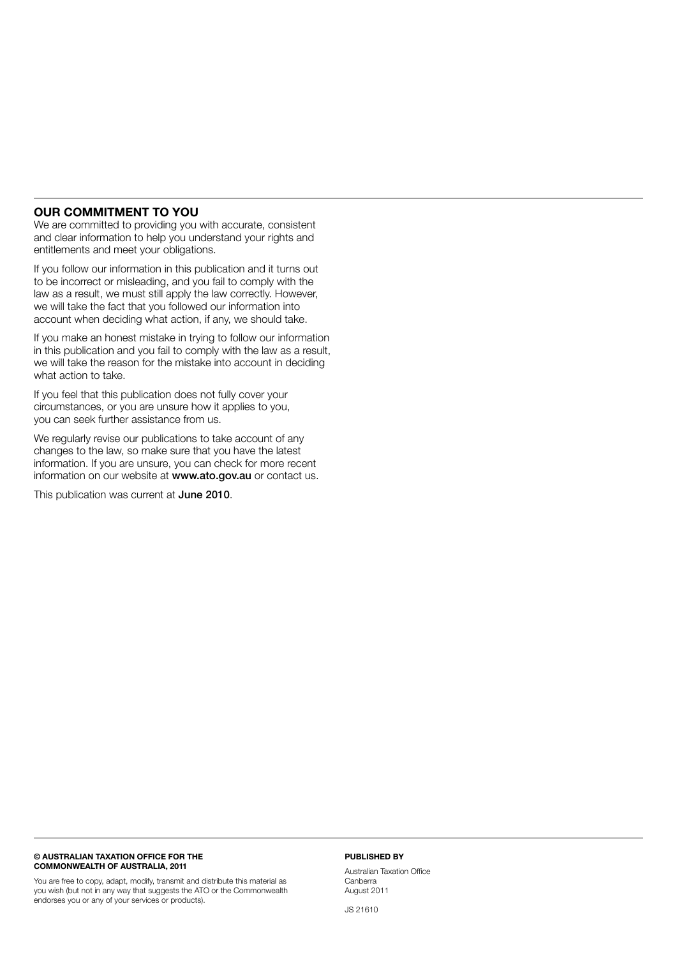#### OUR COMMITMENT TO YOU

We are committed to providing you with accurate, consistent and clear information to help you understand your rights and entitlements and meet your obligations.

If you follow our information in this publication and it turns out to be incorrect or misleading, and you fail to comply with the law as a result, we must still apply the law correctly. However, we will take the fact that you followed our information into account when deciding what action, if any, we should take.

If you make an honest mistake in trying to follow our information in this publication and you fail to comply with the law as a result, we will take the reason for the mistake into account in deciding what action to take.

If you feel that this publication does not fully cover your circumstances, or you are unsure how it applies to you, you can seek further assistance from us.

We regularly revise our publications to take account of any changes to the law, so make sure that you have the latest information. If you are unsure, you can check for more recent information on our website at www.ato.gov.au or contact us.

This publication was current at June 2010.

#### © AUSTRALIAN TAXATION OFFICE FOR THE COMMONWEALTH OF AUSTRALIA, 2011

You are free to copy, adapt, modify, transmit and distribute this material as you wish (but not in any way that suggests the ATO or the Commonwealth endorses you or any of your services or products).

#### PUBLISHED BY

Australian Taxation Office **Canberra** August 2011

JS 21610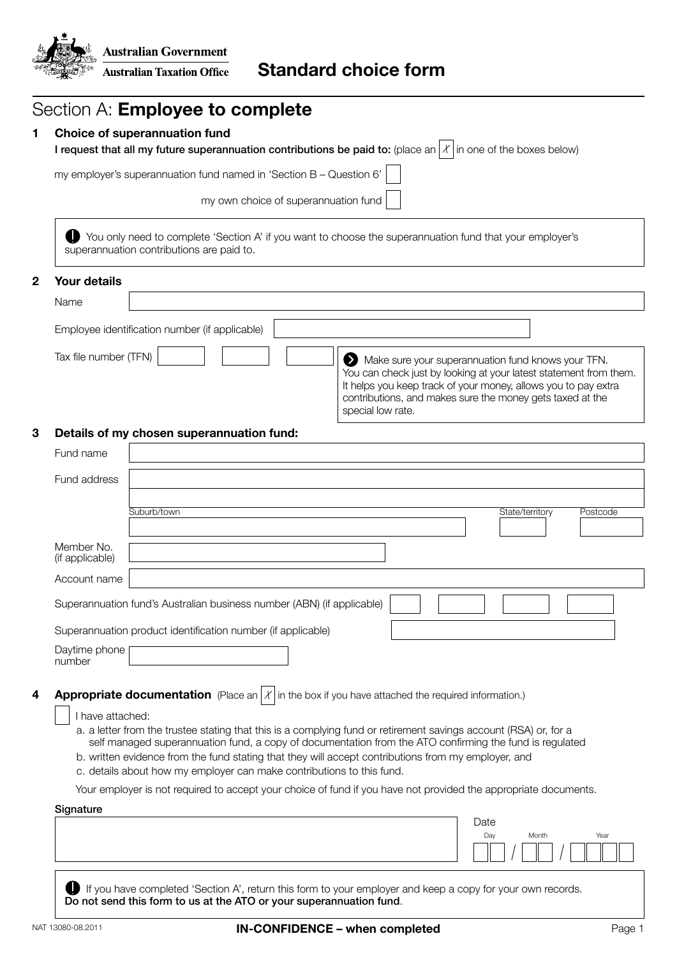

| Choice of superannuation fund<br>I request that all my future superannuation contributions be paid to: (place an $ X $ in one of the boxes below)                                                                                                                                                                                                                                                                               |
|---------------------------------------------------------------------------------------------------------------------------------------------------------------------------------------------------------------------------------------------------------------------------------------------------------------------------------------------------------------------------------------------------------------------------------|
|                                                                                                                                                                                                                                                                                                                                                                                                                                 |
| my employer's superannuation fund named in 'Section B - Question 6'                                                                                                                                                                                                                                                                                                                                                             |
| my own choice of superannuation fund                                                                                                                                                                                                                                                                                                                                                                                            |
| You only need to complete 'Section A' if you want to choose the superannuation fund that your employer's<br>superannuation contributions are paid to.                                                                                                                                                                                                                                                                           |
|                                                                                                                                                                                                                                                                                                                                                                                                                                 |
|                                                                                                                                                                                                                                                                                                                                                                                                                                 |
| Employee identification number (if applicable)                                                                                                                                                                                                                                                                                                                                                                                  |
| Tax file number (TFN)<br>Make sure your superannuation fund knows your TFN.<br>You can check just by looking at your latest statement from them.<br>It helps you keep track of your money, allows you to pay extra<br>contributions, and makes sure the money gets taxed at the<br>special low rate.                                                                                                                            |
| Details of my chosen superannuation fund:                                                                                                                                                                                                                                                                                                                                                                                       |
|                                                                                                                                                                                                                                                                                                                                                                                                                                 |
|                                                                                                                                                                                                                                                                                                                                                                                                                                 |
|                                                                                                                                                                                                                                                                                                                                                                                                                                 |
| Suburb/town<br>State/territory<br>Postcode                                                                                                                                                                                                                                                                                                                                                                                      |
|                                                                                                                                                                                                                                                                                                                                                                                                                                 |
|                                                                                                                                                                                                                                                                                                                                                                                                                                 |
| Superannuation fund's Australian business number (ABN) (if applicable)                                                                                                                                                                                                                                                                                                                                                          |
|                                                                                                                                                                                                                                                                                                                                                                                                                                 |
| Superannuation product identification number (if applicable)                                                                                                                                                                                                                                                                                                                                                                    |
|                                                                                                                                                                                                                                                                                                                                                                                                                                 |
| <b>Appropriate documentation</b> (Place an $X$ in the box if you have attached the required information.)                                                                                                                                                                                                                                                                                                                       |
| I have attached:<br>a. a letter from the trustee stating that this is a complying fund or retirement savings account (RSA) or, for a<br>self managed superannuation fund, a copy of documentation from the ATO confirming the fund is regulated<br>b. written evidence from the fund stating that they will accept contributions from my employer, and<br>c. details about how my employer can make contributions to this fund. |
| Your employer is not required to accept your choice of fund if you have not provided the appropriate documents.                                                                                                                                                                                                                                                                                                                 |
| Date<br>Day<br>Month<br>Year                                                                                                                                                                                                                                                                                                                                                                                                    |
| Daytime phone                                                                                                                                                                                                                                                                                                                                                                                                                   |